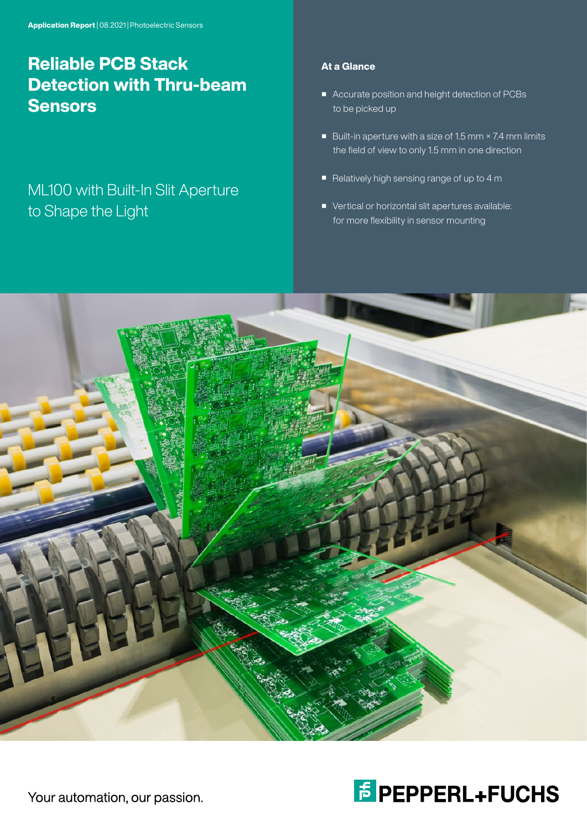# Reliable PCB Stack Detection with Thru-beam **Sensors**

## ML100 with Built-In Slit Aperture to Shape the Light

## At a Glance

- Accurate position and height detection of PCBs to be picked up
- Built-in aperture with a size of 1.5 mm × 7.4 mm limits the field of view to only 1.5 mm in one direction
- Relatively high sensing range of up to 4 m
- Vertical or horizontal slit apertures available: for more flexibility in sensor mounting





Your automation, our passion.